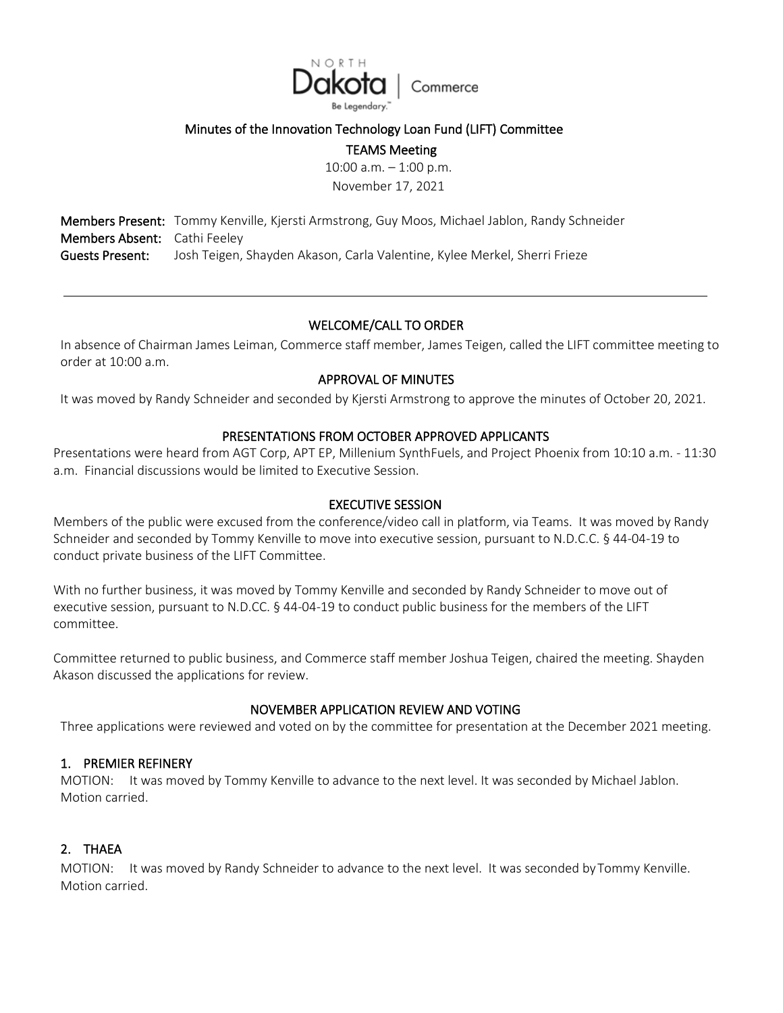

## Minutes of the Innovation Technology Loan Fund (LIFT) Committee

TEAMS Meeting

10:00 a.m. – 1:00 p.m. November 17, 2021

Members Present: Tommy Kenville, Kjersti Armstrong, Guy Moos, Michael Jablon, Randy Schneider Members Absent: Cathi Feeley Guests Present: Josh Teigen, Shayden Akason, Carla Valentine, Kylee Merkel, Sherri Frieze

## WELCOME/CALL TO ORDER

In absence of Chairman James Leiman, Commerce staff member, James Teigen, called the LIFT committee meeting to order at 10:00 a.m.

## APPROVAL OF MINUTES

It was moved by Randy Schneider and seconded by Kjersti Armstrong to approve the minutes of October 20, 2021.

## PRESENTATIONS FROM OCTOBER APPROVED APPLICANTS

Presentations were heard from AGT Corp, APT EP, Millenium SynthFuels, and Project Phoenix from 10:10 a.m. - 11:30 a.m. Financial discussions would be limited to Executive Session.

#### EXECUTIVE SESSION

Members of the public were excused from the conference/video call in platform, via Teams. It was moved by Randy Schneider and seconded by Tommy Kenville to move into executive session, pursuant to N.D.C.C. § 44-04-19 to conduct private business of the LIFT Committee.

With no further business, it was moved by Tommy Kenville and seconded by Randy Schneider to move out of executive session, pursuant to N.D.CC. § 44-04-19 to conduct public business for the members of the LIFT committee.

Committee returned to public business, and Commerce staff member Joshua Teigen, chaired the meeting. Shayden Akason discussed the applications for review.

### NOVEMBER APPLICATION REVIEW AND VOTING

Three applications were reviewed and voted on by the committee for presentation at the December 2021 meeting.

### 1. PREMIER REFINERY

MOTION: It was moved by Tommy Kenville to advance to the next level. It was seconded by Michael Jablon. Motion carried.

### 2. THAEA

MOTION: It was moved by Randy Schneider to advance to the next level. It was seconded byTommy Kenville. Motion carried.